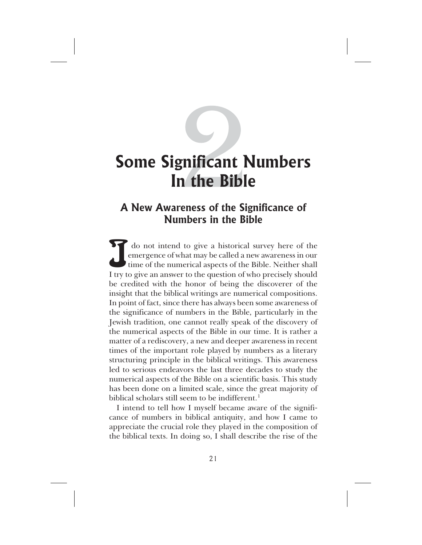## **A New Awareness of the Significance of Numbers in the Bible**

I do not intend to give a historical survey here of the emergence of what may be called a new awareness in our time of the numerical aspects of the Bible. Neither shall I try to give an answer to the question of who precisely should be credited with the honor of being the discoverer of the insight that the biblical writings are numerical compositions. In point of fact, since there has always been some awareness of the significance of numbers in the Bible, particularly in the Jewish tradition, one cannot really speak of the discovery of the numerical aspects of the Bible in our time. It is rather a matter of a rediscovery, a new and deeper awareness in recent times of the important role played by numbers as a literary structuring principle in the biblical writings. This awareness led to serious endeavors the last three decades to study the numerical aspects of the Bible on a scientific basis. This study has been done on a limited scale, since the great majority of biblical scholars still seem to be indifferent.<sup>1</sup>

I intend to tell how I myself became aware of the significance of numbers in biblical antiquity, and how I came to appreciate the crucial role they played in the composition of the biblical texts. In doing so, I shall describe the rise of the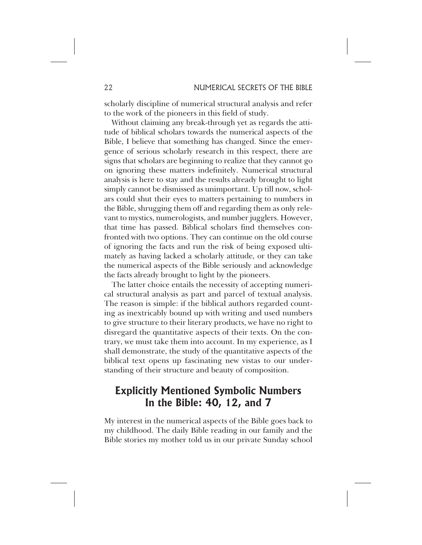scholarly discipline of numerical structural analysis and refer to the work of the pioneers in this field of study.

Without claiming any break-through yet as regards the attitude of biblical scholars towards the numerical aspects of the Bible, I believe that something has changed. Since the emergence of serious scholarly research in this respect, there are signs that scholars are beginning to realize that they cannot go on ignoring these matters indefinitely. Numerical structural analysis is here to stay and the results already brought to light simply cannot be dismissed as unimportant. Up till now, scholars could shut their eyes to matters pertaining to numbers in the Bible, shrugging them off and regarding them as only relevant to mystics, numerologists, and number jugglers. However, that time has passed. Biblical scholars find themselves confronted with two options. They can continue on the old course of ignoring the facts and run the risk of being exposed ultimately as having lacked a scholarly attitude, or they can take the numerical aspects of the Bible seriously and acknowledge the facts already brought to light by the pioneers.

The latter choice entails the necessity of accepting numerical structural analysis as part and parcel of textual analysis. The reason is simple: if the biblical authors regarded counting as inextricably bound up with writing and used numbers to give structure to their literary products, we have no right to disregard the quantitative aspects of their texts. On the contrary, we must take them into account. In my experience, as I shall demonstrate, the study of the quantitative aspects of the biblical text opens up fascinating new vistas to our understanding of their structure and beauty of composition.

## **Explicitly Mentioned Symbolic Numbers In the Bible: 40, 12, and 7**

My interest in the numerical aspects of the Bible goes back to my childhood. The daily Bible reading in our family and the Bible stories my mother told us in our private Sunday school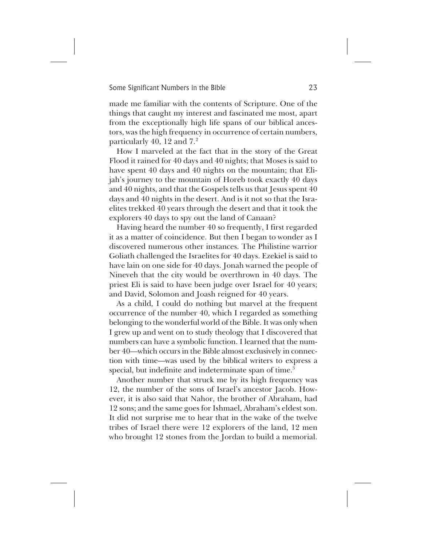made me familiar with the contents of Scripture. One of the things that caught my interest and fascinated me most, apart from the exceptionally high life spans of our biblical ancestors, was the high frequency in occurrence of certain numbers, particularly 40, 12 and 7.<sup>2</sup>

How I marveled at the fact that in the story of the Great Flood it rained for 40 days and 40 nights; that Moses is said to have spent 40 days and 40 nights on the mountain; that Elijah's journey to the mountain of Horeb took exactly 40 days and 40 nights, and that the Gospels tells us that Jesus spent 40 days and 40 nights in the desert. And is it not so that the Israelites trekked 40 years through the desert and that it took the explorers 40 days to spy out the land of Canaan?

Having heard the number 40 so frequently, I first regarded it as a matter of coincidence. But then I began to wonder as I discovered numerous other instances. The Philistine warrior Goliath challenged the Israelites for 40 days. Ezekiel is said to have lain on one side for 40 days. Jonah warned the people of Nineveh that the city would be overthrown in 40 days. The priest Eli is said to have been judge over Israel for 40 years; and David, Solomon and Joash reigned for 40 years.

As a child, I could do nothing but marvel at the frequent occurrence of the number 40, which I regarded as something belonging to the wonderful world of the Bible. It was only when I grew up and went on to study theology that I discovered that numbers can have a symbolic function. I learned that the number 40—which occurs in the Bible almost exclusively in connection with time—was used by the biblical writers to express a special, but indefinite and indeterminate span of time.<sup>3</sup>

Another number that struck me by its high frequency was 12, the number of the sons of Israel's ancestor Jacob. However, it is also said that Nahor, the brother of Abraham, had 12 sons; and the same goes for Ishmael, Abraham's eldest son. It did not surprise me to hear that in the wake of the twelve tribes of Israel there were 12 explorers of the land, 12 men who brought 12 stones from the Jordan to build a memorial.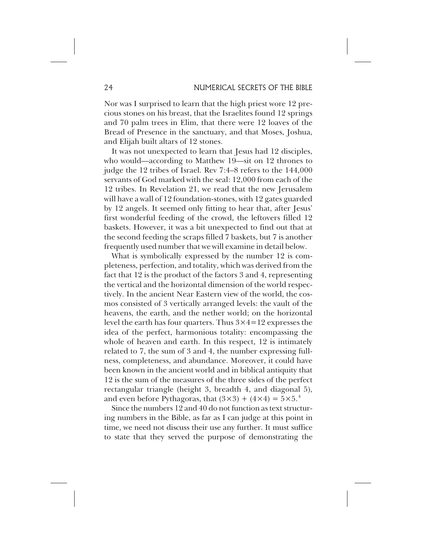Nor was I surprised to learn that the high priest wore 12 precious stones on his breast, that the Israelites found 12 springs and 70 palm trees in Elim, that there were 12 loaves of the Bread of Presence in the sanctuary, and that Moses, Joshua, and Elijah built altars of 12 stones.

It was not unexpected to learn that Jesus had 12 disciples, who would—according to Matthew 19—sit on 12 thrones to judge the 12 tribes of Israel. Rev 7:4–8 refers to the 144,000 servants of God marked with the seal: 12,000 from each of the 12 tribes. In Revelation 21, we read that the new Jerusalem will have a wall of 12 foundation-stones, with 12 gates guarded by 12 angels. It seemed only fitting to hear that, after Jesus' first wonderful feeding of the crowd, the leftovers filled 12 baskets. However, it was a bit unexpected to find out that at the second feeding the scraps filled 7 baskets, but 7 is another frequently used number that we will examine in detail below.

What is symbolically expressed by the number 12 is completeness, perfection, and totality, which was derived from the fact that 12 is the product of the factors 3 and 4, representing the vertical and the horizontal dimension of the world respectively. In the ancient Near Eastern view of the world, the cosmos consisted of 3 vertically arranged levels: the vault of the heavens, the earth, and the nether world; on the horizontal level the earth has four quarters. Thus  $3 \times 4 = 12$  expresses the idea of the perfect, harmonious totality: encompassing the whole of heaven and earth. In this respect, 12 is intimately related to 7, the sum of 3 and 4, the number expressing fullness, completeness, and abundance. Moreover, it could have been known in the ancient world and in biblical antiquity that 12 is the sum of the measures of the three sides of the perfect rectangular triangle (height 3, breadth 4, and diagonal 5), and even before Pythagoras, that  $(3\times3) + (4\times4) = 5\times5.^4$ 

Since the numbers 12 and 40 do not function as text structuring numbers in the Bible, as far as I can judge at this point in time, we need not discuss their use any further. It must suffice to state that they served the purpose of demonstrating the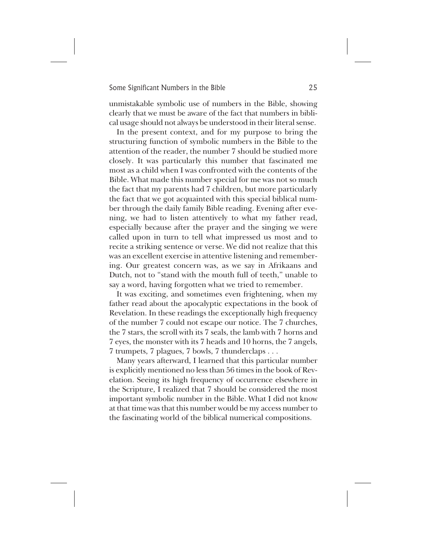unmistakable symbolic use of numbers in the Bible, showing clearly that we must be aware of the fact that numbers in biblical usage should not always be understood in their literal sense.

In the present context, and for my purpose to bring the structuring function of symbolic numbers in the Bible to the attention of the reader, the number 7 should be studied more closely. It was particularly this number that fascinated me most as a child when I was confronted with the contents of the Bible. What made this number special for me was not so much the fact that my parents had 7 children, but more particularly the fact that we got acquainted with this special biblical number through the daily family Bible reading. Evening after evening, we had to listen attentively to what my father read, especially because after the prayer and the singing we were called upon in turn to tell what impressed us most and to recite a striking sentence or verse. We did not realize that this was an excellent exercise in attentive listening and remembering. Our greatest concern was, as we say in Afrikaans and Dutch, not to "stand with the mouth full of teeth," unable to say a word, having forgotten what we tried to remember.

It was exciting, and sometimes even frightening, when my father read about the apocalyptic expectations in the book of Revelation. In these readings the exceptionally high frequency of the number 7 could not escape our notice. The 7 churches, the 7 stars, the scroll with its 7 seals, the lamb with 7 horns and 7 eyes, the monster with its 7 heads and 10 horns, the 7 angels, 7 trumpets, 7 plagues, 7 bowls, 7 thunderclaps . . .

Many years afterward, I learned that this particular number is explicitly mentioned no less than 56 times in the book of Revelation. Seeing its high frequency of occurrence elsewhere in the Scripture, I realized that 7 should be considered the most important symbolic number in the Bible. What I did not know at that time was that this number would be my access number to the fascinating world of the biblical numerical compositions.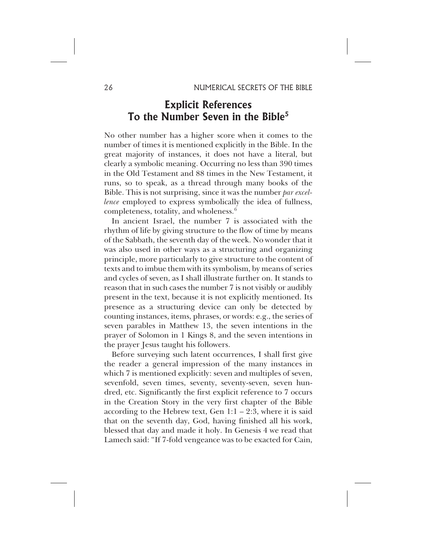# **Explicit References To the Number Seven in the Bible5**

No other number has a higher score when it comes to the number of times it is mentioned explicitly in the Bible. In the great majority of instances, it does not have a literal, but clearly a symbolic meaning. Occurring no less than 390 times in the Old Testament and 88 times in the New Testament, it runs, so to speak, as a thread through many books of the Bible. This is not surprising, since it was the number *par excellence* employed to express symbolically the idea of fullness, completeness, totality, and wholeness.<sup>6</sup>

In ancient Israel, the number 7 is associated with the rhythm of life by giving structure to the flow of time by means of the Sabbath, the seventh day of the week. No wonder that it was also used in other ways as a structuring and organizing principle, more particularly to give structure to the content of texts and to imbue them with its symbolism, by means of series and cycles of seven, as I shall illustrate further on. It stands to reason that in such cases the number 7 is not visibly or audibly present in the text, because it is not explicitly mentioned. Its presence as a structuring device can only be detected by counting instances, items, phrases, or words: e.g., the series of seven parables in Matthew 13, the seven intentions in the prayer of Solomon in 1 Kings 8, and the seven intentions in the prayer Jesus taught his followers.

Before surveying such latent occurrences, I shall first give the reader a general impression of the many instances in which 7 is mentioned explicitly: seven and multiples of seven, sevenfold, seven times, seventy, seventy-seven, seven hundred, etc. Significantly the first explicit reference to 7 occurs in the Creation Story in the very first chapter of the Bible according to the Hebrew text, Gen  $1:1 - 2:3$ , where it is said that on the seventh day, God, having finished all his work, blessed that day and made it holy. In Genesis 4 we read that Lamech said: "If 7-fold vengeance was to be exacted for Cain,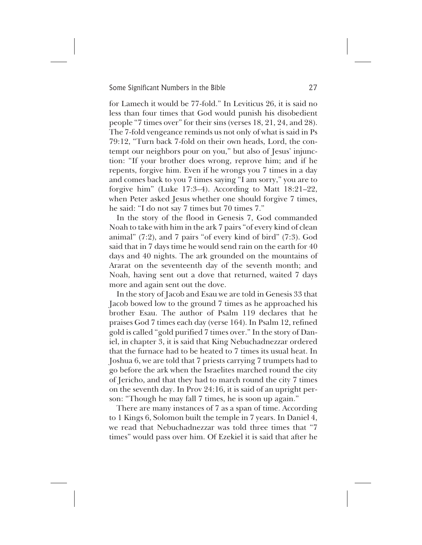for Lamech it would be 77-fold." In Leviticus 26, it is said no less than four times that God would punish his disobedient people "7 times over" for their sins (verses 18, 21, 24, and 28). The 7-fold vengeance reminds us not only of what is said in Ps 79:12, "Turn back 7-fold on their own heads, Lord, the contempt our neighbors pour on you," but also of Jesus' injunction: "If your brother does wrong, reprove him; and if he repents, forgive him. Even if he wrongs you 7 times in a day and comes back to you 7 times saying "I am sorry," you are to forgive him" (Luke 17:3–4). According to Matt 18:21–22, when Peter asked Jesus whether one should forgive 7 times, he said: "I do not say 7 times but 70 times 7."

In the story of the flood in Genesis 7, God commanded Noah to take with him in the ark 7 pairs "of every kind of clean animal" (7:2), and 7 pairs "of every kind of bird" (7:3). God said that in 7 days time he would send rain on the earth for 40 days and 40 nights. The ark grounded on the mountains of Ararat on the seventeenth day of the seventh month; and Noah, having sent out a dove that returned, waited 7 days more and again sent out the dove.

In the story of Jacob and Esau we are told in Genesis 33 that Jacob bowed low to the ground 7 times as he approached his brother Esau. The author of Psalm 119 declares that he praises God 7 times each day (verse 164). In Psalm 12, refined gold is called "gold purified 7 times over." In the story of Daniel, in chapter 3, it is said that King Nebuchadnezzar ordered that the furnace had to be heated to 7 times its usual heat. In Joshua 6, we are told that 7 priests carrying 7 trumpets had to go before the ark when the Israelites marched round the city of Jericho, and that they had to march round the city 7 times on the seventh day. In Prov 24:16, it is said of an upright person: "Though he may fall 7 times, he is soon up again."

There are many instances of 7 as a span of time. According to 1 Kings 6, Solomon built the temple in 7 years. In Daniel 4, we read that Nebuchadnezzar was told three times that "7 times" would pass over him. Of Ezekiel it is said that after he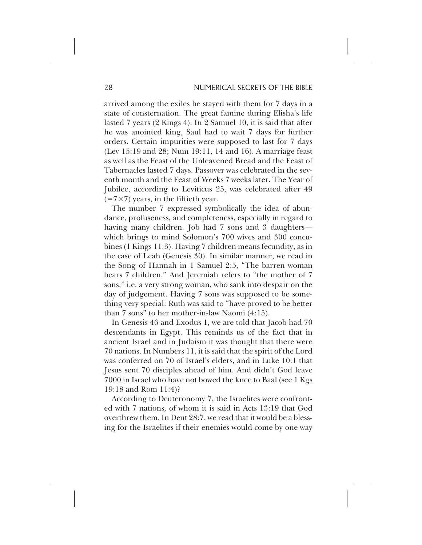arrived among the exiles he stayed with them for 7 days in a state of consternation. The great famine during Elisha's life lasted 7 years (2 Kings 4). In 2 Samuel 10, it is said that after he was anointed king, Saul had to wait 7 days for further orders. Certain impurities were supposed to last for 7 days (Lev 15:19 and 28; Num 19:11, 14 and 16). A marriage feast as well as the Feast of the Unleavened Bread and the Feast of Tabernacles lasted 7 days. Passover was celebrated in the seventh month and the Feast of Weeks 7 weeks later. The Year of Jubilee, according to Leviticus 25, was celebrated after 49  $(=7\times7)$  years, in the fiftieth year.

The number 7 expressed symbolically the idea of abundance, profuseness, and completeness, especially in regard to having many children. Job had 7 sons and 3 daughters which brings to mind Solomon's 700 wives and 300 concubines (1 Kings 11:3). Having 7 children means fecundity, as in the case of Leah (Genesis 30). In similar manner, we read in the Song of Hannah in 1 Samuel 2:5, "The barren woman bears 7 children." And Jeremiah refers to "the mother of 7 sons," i.e. a very strong woman, who sank into despair on the day of judgement. Having 7 sons was supposed to be something very special: Ruth was said to "have proved to be better than 7 sons" to her mother-in-law Naomi (4:15).

In Genesis 46 and Exodus 1, we are told that Jacob had 70 descendants in Egypt. This reminds us of the fact that in ancient Israel and in Judaism it was thought that there were 70 nations. In Numbers 11, it is said that the spirit of the Lord was conferred on 70 of Israel's elders, and in Luke 10:1 that Jesus sent 70 disciples ahead of him. And didn't God leave 7000 in Israel who have not bowed the knee to Baal (see 1 Kgs 19:18 and Rom 11:4)?

According to Deuteronomy 7, the Israelites were confronted with 7 nations, of whom it is said in Acts 13:19 that God overthrew them. In Deut 28:7, we read that it would be a blessing for the Israelites if their enemies would come by one way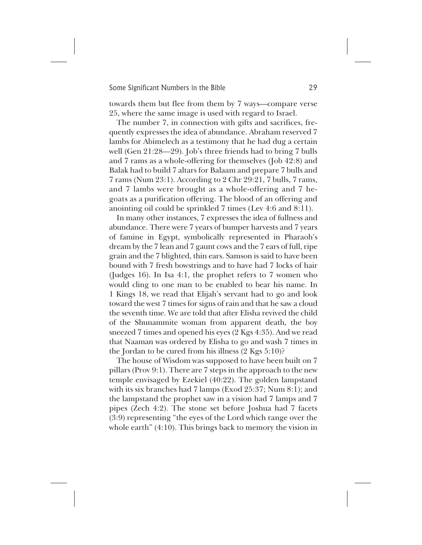towards them but flee from them by 7 ways—compare verse 25, where the same image is used with regard to Israel.

The number 7, in connection with gifts and sacrifices, frequently expresses the idea of abundance. Abraham reserved 7 lambs for Abimelech as a testimony that he had dug a certain well (Gen 21:28––29). Job's three friends had to bring 7 bulls and 7 rams as a whole-offering for themselves (Job 42:8) and Balak had to build 7 altars for Balaam and prepare 7 bulls and 7 rams (Num 23:1). According to 2 Chr 29:21, 7 bulls, 7 rams, and 7 lambs were brought as a whole-offering and 7 hegoats as a purification offering. The blood of an offering and anointing oil could be sprinkled 7 times (Lev 4:6 and 8:11).

In many other instances, 7 expresses the idea of fullness and abundance. There were 7 years of bumper harvests and 7 years of famine in Egypt, symbolically represented in Pharaoh's dream by the 7 lean and 7 gaunt cows and the 7 ears of full, ripe grain and the 7 blighted, thin ears. Samson is said to have been bound with 7 fresh bowstrings and to have had 7 locks of hair (Judges 16). In Isa 4:1, the prophet refers to 7 women who would cling to one man to be enabled to bear his name. In 1 Kings 18, we read that Elijah's servant had to go and look toward the west 7 times for signs of rain and that he saw a cloud the seventh time. We are told that after Elisha revived the child of the Shunammite woman from apparent death, the boy sneezed 7 times and opened his eyes (2 Kgs 4:35). And we read that Naaman was ordered by Elisha to go and wash 7 times in the Jordan to be cured from his illness (2 Kgs 5:10)?

The house of Wisdom was supposed to have been built on 7 pillars (Prov 9:1). There are 7 steps in the approach to the new temple envisaged by Ezekiel (40:22). The golden lampstand with its six branches had 7 lamps (Exod 25:37; Num 8:1); and the lampstand the prophet saw in a vision had 7 lamps and 7 pipes (Zech 4:2). The stone set before Joshua had 7 facets (3:9) representing "the eyes of the Lord which range over the whole earth" (4:10). This brings back to memory the vision in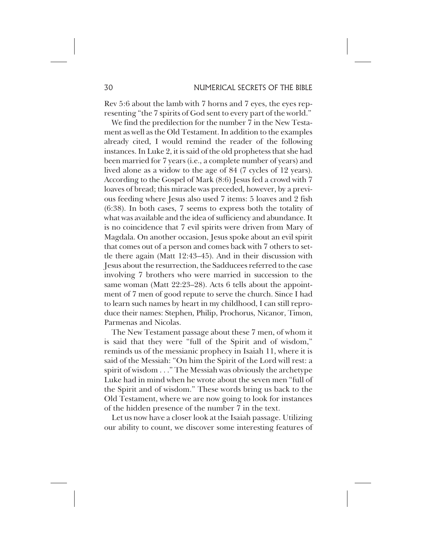Rev 5:6 about the lamb with 7 horns and 7 eyes, the eyes representing "the 7 spirits of God sent to every part of the world."

We find the predilection for the number 7 in the New Testament as well as the Old Testament. In addition to the examples already cited, I would remind the reader of the following instances. In Luke 2, it is said of the old prophetess that she had been married for 7 years (i.e., a complete number of years) and lived alone as a widow to the age of 84 (7 cycles of 12 years). According to the Gospel of Mark (8:6) Jesus fed a crowd with 7 loaves of bread; this miracle was preceded, however, by a previous feeding where Jesus also used 7 items: 5 loaves and 2 fish (6:38). In both cases, 7 seems to express both the totality of what was available and the idea of sufficiency and abundance. It is no coincidence that 7 evil spirits were driven from Mary of Magdala. On another occasion, Jesus spoke about an evil spirit that comes out of a person and comes back with 7 others to settle there again (Matt 12:43–45). And in their discussion with Jesus about the resurrection, the Sadducees referred to the case involving 7 brothers who were married in succession to the same woman (Matt 22:23–28). Acts 6 tells about the appointment of 7 men of good repute to serve the church. Since I had to learn such names by heart in my childhood, I can still reproduce their names: Stephen, Philip, Prochorus, Nicanor, Timon, Parmenas and Nicolas.

The New Testament passage about these 7 men, of whom it is said that they were "full of the Spirit and of wisdom," reminds us of the messianic prophecy in Isaiah 11, where it is said of the Messiah: "On him the Spirit of the Lord will rest: a spirit of wisdom . . ." The Messiah was obviously the archetype Luke had in mind when he wrote about the seven men "full of the Spirit and of wisdom." These words bring us back to the Old Testament, where we are now going to look for instances of the hidden presence of the number 7 in the text.

Let us now have a closer look at the Isaiah passage. Utilizing our ability to count, we discover some interesting features of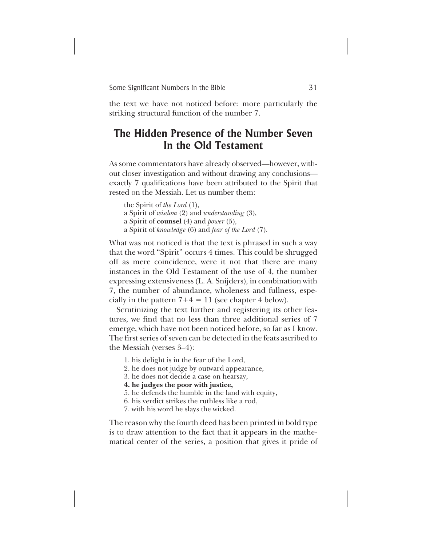the text we have not noticed before: more particularly the striking structural function of the number 7.

## **The Hidden Presence of the Number Seven In the Old Testament**

As some commentators have already observed—however, without closer investigation and without drawing any conclusions exactly 7 qualifications have been attributed to the Spirit that rested on the Messiah. Let us number them:

the Spirit of *the Lord* (1), a Spirit of *wisdom* (2) and *understanding* (3), a Spirit of **counsel** (4) and *power* (5), a Spirit of *knowledge* (6) and *fear of the Lord* (7).

What was not noticed is that the text is phrased in such a way that the word "Spirit" occurs 4 times. This could be shrugged off as mere coincidence, were it not that there are many instances in the Old Testament of the use of 4, the number expressing extensiveness (L. A. Snijders), in combination with 7, the number of abundance, wholeness and fullness, especially in the pattern  $7+4 = 11$  (see chapter 4 below).

Scrutinizing the text further and registering its other features, we find that no less than three additional series of 7 emerge, which have not been noticed before, so far as I know. The first series of seven can be detected in the feats ascribed to the Messiah (verses 3–4):

1. his delight is in the fear of the Lord,

2. he does not judge by outward appearance,

3. he does not decide a case on hearsay,

**4. he judges the poor with justice,**

5. he defends the humble in the land with equity,

6. his verdict strikes the ruthless like a rod,

7. with his word he slays the wicked.

The reason why the fourth deed has been printed in bold type is to draw attention to the fact that it appears in the mathematical center of the series, a position that gives it pride of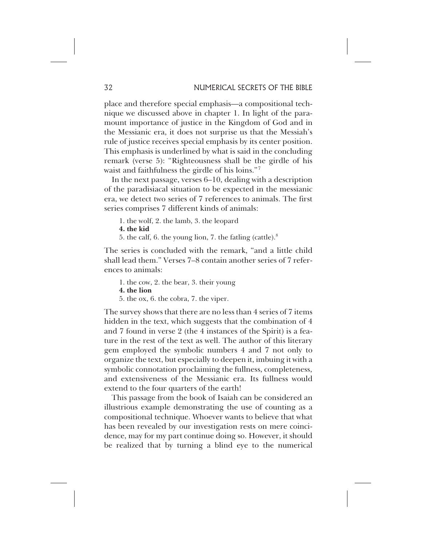place and therefore special emphasis—a compositional technique we discussed above in chapter 1. In light of the paramount importance of justice in the Kingdom of God and in the Messianic era, it does not surprise us that the Messiah's rule of justice receives special emphasis by its center position. This emphasis is underlined by what is said in the concluding remark (verse 5): "Righteousness shall be the girdle of his waist and faithfulness the girdle of his loins."<sup>7</sup>

In the next passage, verses 6–10, dealing with a description of the paradisiacal situation to be expected in the messianic era, we detect two series of 7 references to animals. The first series comprises 7 different kinds of animals:

1. the wolf, 2. the lamb, 3. the leopard

**4. the kid**

5. the calf, 6. the young lion, 7. the fatling (cattle).<sup>8</sup>

The series is concluded with the remark, "and a little child shall lead them." Verses 7–8 contain another series of 7 references to animals:

1. the cow, 2. the bear, 3. their young **4. the lion** 5. the ox, 6. the cobra, 7. the viper.

The survey shows that there are no less than 4 series of 7 items hidden in the text, which suggests that the combination of 4 and 7 found in verse 2 (the 4 instances of the Spirit) is a feature in the rest of the text as well. The author of this literary gem employed the symbolic numbers 4 and 7 not only to organize the text, but especially to deepen it, imbuing it with a symbolic connotation proclaiming the fullness, completeness, and extensiveness of the Messianic era. Its fullness would extend to the four quarters of the earth!

This passage from the book of Isaiah can be considered an illustrious example demonstrating the use of counting as a compositional technique. Whoever wants to believe that what has been revealed by our investigation rests on mere coincidence, may for my part continue doing so. However, it should be realized that by turning a blind eye to the numerical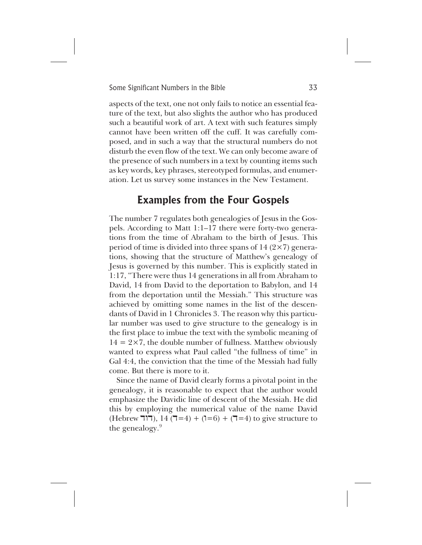aspects of the text, one not only fails to notice an essential feature of the text, but also slights the author who has produced such a beautiful work of art. A text with such features simply cannot have been written off the cuff. It was carefully composed, and in such a way that the structural numbers do not disturb the even flow of the text. We can only become aware of the presence of such numbers in a text by counting items such as key words, key phrases, stereotyped formulas, and enumeration. Let us survey some instances in the New Testament.

### **Examples from the Four Gospels**

The number 7 regulates both genealogies of Jesus in the Gospels. According to Matt 1:1–17 there were forty-two generations from the time of Abraham to the birth of Jesus. This period of time is divided into three spans of 14  $(2\times7)$  generations, showing that the structure of Matthew's genealogy of Jesus is governed by this number. This is explicitly stated in 1:17, "There were thus 14 generations in all from Abraham to David, 14 from David to the deportation to Babylon, and 14 from the deportation until the Messiah." This structure was achieved by omitting some names in the list of the descendants of David in 1 Chronicles 3. The reason why this particular number was used to give structure to the genealogy is in the first place to imbue the text with the symbolic meaning of  $14 = 2 \times 7$ , the double number of fullness. Matthew obviously wanted to express what Paul called "the fullness of time" in Gal 4:4, the conviction that the time of the Messiah had fully come. But there is more to it.

Since the name of David clearly forms a pivotal point in the genealogy, it is reasonable to expect that the author would emphasize the Davidic line of descent of the Messiah. He did this by employing the numerical value of the name David (Hebrew **DU**),  $14$  ( $T=4$ ) + ( $T=6$ ) + ( $T=4$ ) to give structure to the genealogy.<sup>9</sup>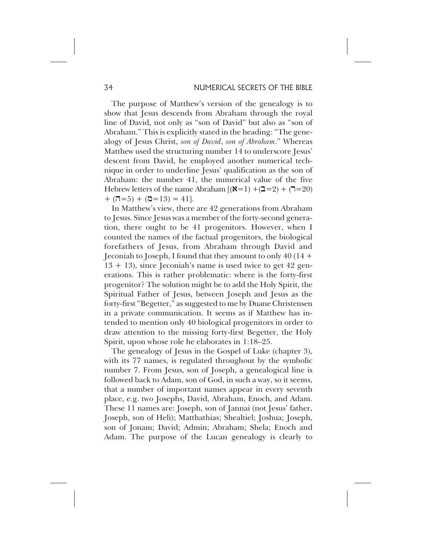The purpose of Matthew's version of the genealogy is to show that Jesus descends from Abraham through the royal line of David, not only as "son of David" but also as "son of Abraham." This is explicitly stated in the heading: "The genealogy of Jesus Christ, *son of David*, *son of Abraham*." Whereas Matthew used the structuring number 14 to underscore Jesus' descent from David, he employed another numerical technique in order to underline Jesus' qualification as the son of Abraham: the number 41, the numerical value of the five Hebrew letters of the name Abraham  $[(\mathbf{N}=1) + (\mathbf{D}=2) + (\mathbf{D}=20)]$  $+$  ( $\pi$ =5) + ( $\Delta$ =13) = 41].

In Matthew's view, there are 42 generations from Abraham to Jesus. Since Jesus was a member of the forty-second generation, there ought to be 41 progenitors. However, when I counted the names of the factual progenitors, the biological forefathers of Jesus, from Abraham through David and Jeconiah to Joseph, I found that they amount to only  $40(14 +$  $13 + 13$ ), since Jeconiah's name is used twice to get 42 generations. This is rather problematic: where is the forty-first progenitor? The solution might be to add the Holy Spirit, the Spiritual Father of Jesus, between Joseph and Jesus as the forty-first "Begetter," as suggested to me by Duane Christensen in a private communication. It seems as if Matthew has intended to mention only 40 biological progenitors in order to draw attention to the missing forty-first Begetter, the Holy Spirit, upon whose role he elaborates in 1:18–25.

The genealogy of Jesus in the Gospel of Luke (chapter 3), with its 77 names, is regulated throughout by the symbolic number 7. From Jesus, son of Joseph, a genealogical line is followed back to Adam, son of God, in such a way, so it seems, that a number of important names appear in every seventh place, e.g. two Josephs, David, Abraham, Enoch, and Adam. These 11 names are: Joseph, son of Jannai (not Jesus' father, Joseph, son of Heli); Matthathias; Shealtiel; Joshua; Joseph, son of Jonam; David; Admin; Abraham; Shela; Enoch and Adam. The purpose of the Lucan genealogy is clearly to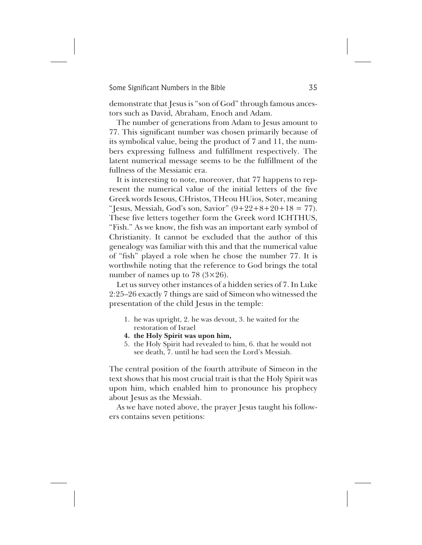demonstrate that Jesus is "son of God" through famous ancestors such as David, Abraham, Enoch and Adam.

The number of generations from Adam to Jesus amount to 77. This significant number was chosen primarily because of its symbolical value, being the product of 7 and 11, the numbers expressing fullness and fulfillment respectively. The latent numerical message seems to be the fulfillment of the fullness of the Messianic era.

It is interesting to note, moreover, that 77 happens to represent the numerical value of the initial letters of the five Greek words Iesous, CHristos, THeou HUios, Soter, meaning "Jesus, Messiah, God's son, Savior"  $(9+22+8+20+18 = 77)$ . These five letters together form the Greek word ICHTHUS, "Fish." As we know, the fish was an important early symbol of Christianity. It cannot be excluded that the author of this genealogy was familiar with this and that the numerical value of "fish" played a role when he chose the number 77. It is worthwhile noting that the reference to God brings the total number of names up to 78  $(3\times26)$ .

Let us survey other instances of a hidden series of 7. In Luke 2:25–26 exactly 7 things are said of Simeon who witnessed the presentation of the child Jesus in the temple:

- 1. he was upright, 2. he was devout, 3. he waited for the restoration of Israel
- **4. the Holy Spirit was upon him,**
- 5. the Holy Spirit had revealed to him, 6. that he would not see death, 7. until he had seen the Lord's Messiah.

The central position of the fourth attribute of Simeon in the text shows that his most crucial trait is that the Holy Spirit was upon him, which enabled him to pronounce his prophecy about Jesus as the Messiah.

As we have noted above, the prayer Jesus taught his followers contains seven petitions: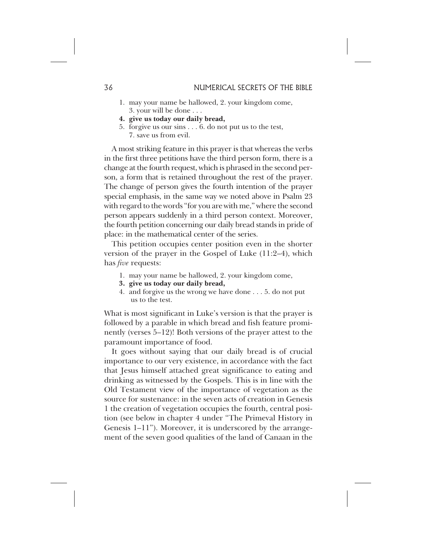- 1. may your name be hallowed, 2. your kingdom come, 3. your will be done . . .
- **4. give us today our daily bread,**
- 5. forgive us our sins . . . 6. do not put us to the test, 7. save us from evil.

A most striking feature in this prayer is that whereas the verbs in the first three petitions have the third person form, there is a change at the fourth request, which is phrased in the second person, a form that is retained throughout the rest of the prayer. The change of person gives the fourth intention of the prayer special emphasis, in the same way we noted above in Psalm 23 with regard to the words "for you are with me," where the second person appears suddenly in a third person context. Moreover, the fourth petition concerning our daily bread stands in pride of place: in the mathematical center of the series.

This petition occupies center position even in the shorter version of the prayer in the Gospel of Luke (11:2–4), which has *five* requests:

- 1. may your name be hallowed, 2. your kingdom come,
- **3. give us today our daily bread,**
- 4. and forgive us the wrong we have done . . . 5. do not put us to the test.

What is most significant in Luke's version is that the prayer is followed by a parable in which bread and fish feature prominently (verses 5–12)! Both versions of the prayer attest to the paramount importance of food.

It goes without saying that our daily bread is of crucial importance to our very existence, in accordance with the fact that Jesus himself attached great significance to eating and drinking as witnessed by the Gospels. This is in line with the Old Testament view of the importance of vegetation as the source for sustenance: in the seven acts of creation in Genesis 1 the creation of vegetation occupies the fourth, central position (see below in chapter 4 under "The Primeval History in Genesis 1–11"). Moreover, it is underscored by the arrangement of the seven good qualities of the land of Canaan in the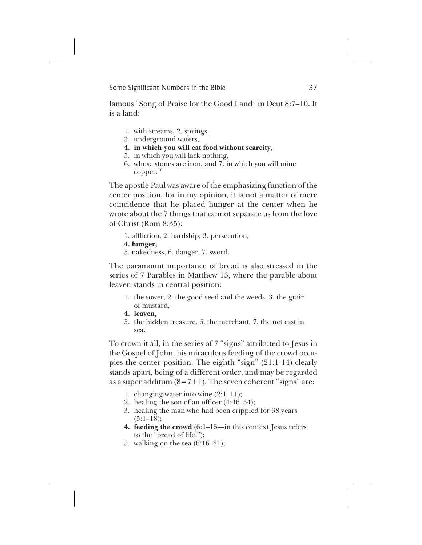famous "Song of Praise for the Good Land" in Deut 8:7–10. It is a land:

- 1. with streams, 2. springs,
- 3. underground waters,
- **4. in which you will eat food without scarcity,**
- 5. in which you will lack nothing,
- 6. whose stones are iron, and 7. in which you will mine copper.<sup>10</sup>

The apostle Paul was aware of the emphasizing function of the center position, for in my opinion, it is not a matter of mere coincidence that he placed hunger at the center when he wrote about the 7 things that cannot separate us from the love of Christ (Rom 8:35):

- 1. affliction, 2. hardship, 3. persecution,
- **4. hunger,**
- 5. nakedness, 6. danger, 7. sword.

The paramount importance of bread is also stressed in the series of 7 Parables in Matthew 13, where the parable about leaven stands in central position:

- 1. the sower, 2. the good seed and the weeds, 3. the grain of mustard,
- **4. leaven,**
- 5. the hidden treasure, 6. the merchant, 7. the net cast in sea.

To crown it all, in the series of 7 "signs" attributed to Jesus in the Gospel of John, his miraculous feeding of the crowd occupies the center position. The eighth "sign" (21:1-14) clearly stands apart, being of a different order, and may be regarded as a super additum  $(8=7+1)$ . The seven coherent "signs" are:

- 1. changing water into wine (2:1–11);
- 2. healing the son of an officer (4:46–54);
- 3. healing the man who had been crippled for 38 years  $(5:1–18);$
- **4. feeding the crowd** (6:1–15—in this context Jesus refers to the "bread of life!");
- 5. walking on the sea (6:16–21);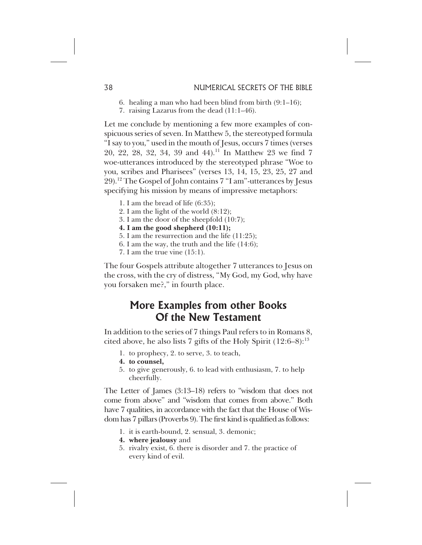- 6. healing a man who had been blind from birth (9:1–16);
- 7. raising Lazarus from the dead (11:1–46).

Let me conclude by mentioning a few more examples of conspicuous series of seven. In Matthew 5, the stereotyped formula "I say to you," used in the mouth of Jesus, occurs 7 times (verses 20, 22, 28, 32, 34, 39 and 44).<sup>11</sup> In Matthew 23 we find 7 woe-utterances introduced by the stereotyped phrase "Woe to you, scribes and Pharisees" (verses 13, 14, 15, 23, 25, 27 and 29).12 The Gospel of John contains 7 "I am"-utterances by Jesus specifying his mission by means of impressive metaphors:

- 1. I am the bread of life (6:35);
- 2. I am the light of the world (8:12);
- 3. I am the door of the sheepfold (10:7);
- **4. I am the good shepherd (10:11);**
- 5. I am the resurrection and the life (11:25);
- 6. I am the way, the truth and the life (14:6);
- 7. I am the true vine (15:1).

The four Gospels attribute altogether 7 utterances to Jesus on the cross, with the cry of distress, "My God, my God, why have you forsaken me?," in fourth place.

# **More Examples from other Books Of the New Testament**

In addition to the series of 7 things Paul refers to in Romans 8, cited above, he also lists 7 gifts of the Holy Spirit  $(12.6-8)$ :<sup>13</sup>

- 1. to prophecy, 2. to serve, 3. to teach,
- **4. to counsel,**
- 5. to give generously, 6. to lead with enthusiasm, 7. to help cheerfully.

The Letter of James (3:13–18) refers to "wisdom that does not come from above" and "wisdom that comes from above." Both have 7 qualities, in accordance with the fact that the House of Wisdom has 7 pillars (Proverbs 9). The first kind is qualified as follows:

- 1. it is earth-bound, 2. sensual, 3. demonic;
- **4. where jealousy** and
- 5. rivalry exist, 6. there is disorder and 7. the practice of every kind of evil.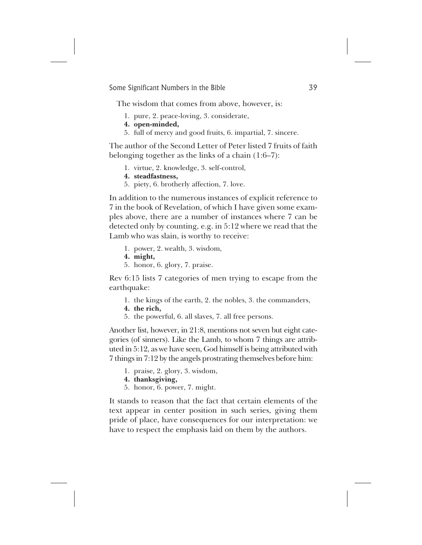The wisdom that comes from above, however, is:

- 1. pure, 2. peace-loving, 3. considerate,
- **4. open-minded,**
- 5. full of mercy and good fruits, 6. impartial, 7. sincere.

The author of the Second Letter of Peter listed 7 fruits of faith belonging together as the links of a chain (1:6–7):

- 1. virtue, 2. knowledge, 3. self-control,
- **4. steadfastness,**
- 5. piety, 6. brotherly affection, 7. love.

In addition to the numerous instances of explicit reference to 7 in the book of Revelation, of which I have given some examples above, there are a number of instances where 7 can be detected only by counting, e.g. in 5:12 where we read that the Lamb who was slain, is worthy to receive:

- 1. power, 2. wealth, 3. wisdom,
- **4. might,**
- 5. honor, 6. glory, 7. praise.

Rev 6:15 lists 7 categories of men trying to escape from the earthquake:

- 1. the kings of the earth, 2. the nobles, 3. the commanders,
- **4. the rich,**
- 5. the powerful, 6. all slaves, 7. all free persons.

Another list, however, in 21:8, mentions not seven but eight categories (of sinners). Like the Lamb, to whom 7 things are attributed in 5:12, as we have seen, God himself is being attributed with 7 things in 7:12 by the angels prostrating themselves before him:

- 1. praise, 2. glory, 3. wisdom,
- **4. thanksgiving,**
- 5. honor, 6. power, 7. might.

It stands to reason that the fact that certain elements of the text appear in center position in such series, giving them pride of place, have consequences for our interpretation: we have to respect the emphasis laid on them by the authors.